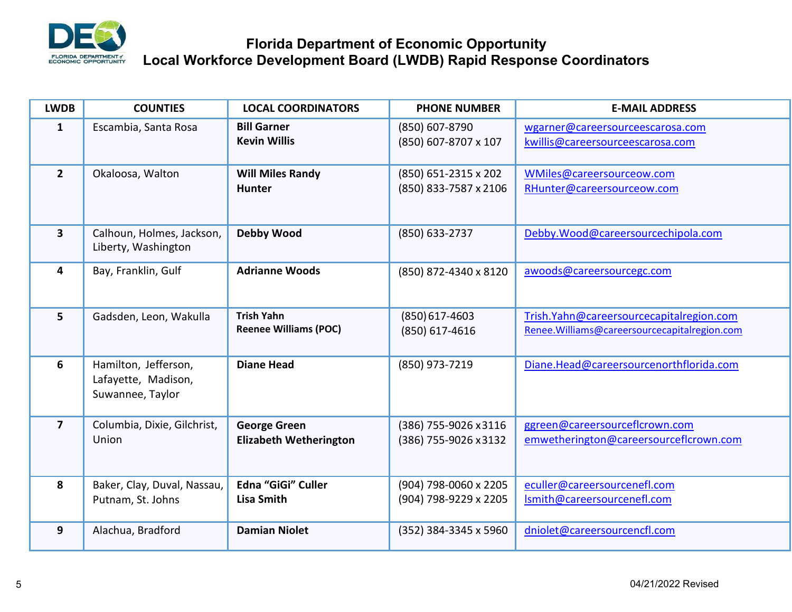

## **Florida Department of Economic Opportunity Local Workforce Development Board (LWDB) Rapid Response Coordinators**

| <b>LWDB</b>    | <b>COUNTIES</b>                                                 | <b>LOCAL COORDINATORS</b>                            | <b>PHONE NUMBER</b>                            | <b>E-MAIL ADDRESS</b>                                                                    |
|----------------|-----------------------------------------------------------------|------------------------------------------------------|------------------------------------------------|------------------------------------------------------------------------------------------|
| 1              | Escambia, Santa Rosa                                            | <b>Bill Garner</b><br><b>Kevin Willis</b>            | (850) 607-8790<br>(850) 607-8707 x 107         | wgarner@careersourceescarosa.com<br>kwillis@careersourceescarosa.com                     |
| $\overline{2}$ | Okaloosa, Walton                                                | <b>Will Miles Randy</b><br><b>Hunter</b>             | (850) 651-2315 x 202<br>(850) 833-7587 x 2106  | WMiles@careersourceow.com<br>RHunter@careersourceow.com                                  |
| $\mathbf{3}$   | Calhoun, Holmes, Jackson,<br>Liberty, Washington                | <b>Debby Wood</b>                                    | (850) 633-2737                                 | Debby.Wood@careersourcechipola.com                                                       |
| 4              | Bay, Franklin, Gulf                                             | <b>Adrianne Woods</b>                                | (850) 872-4340 x 8120                          | awoods@careersourcegc.com                                                                |
| 5 <sup>1</sup> | Gadsden, Leon, Wakulla                                          | <b>Trish Yahn</b><br><b>Reenee Williams (POC)</b>    | $(850)$ 617-4603<br>(850) 617-4616             | Trish.Yahn@careersourcecapitalregion.com<br>Renee.Williams@careersourcecapitalregion.com |
| 6              | Hamilton, Jefferson,<br>Lafayette, Madison,<br>Suwannee, Taylor | <b>Diane Head</b>                                    | (850) 973-7219                                 | Diane.Head@careersourcenorthflorida.com                                                  |
| $\overline{7}$ | Columbia, Dixie, Gilchrist,<br>Union                            | <b>George Green</b><br><b>Elizabeth Wetherington</b> | (386) 755-9026 x3116<br>(386) 755-9026 x 3132  | ggreen@careersourceflcrown.com<br>emwetherington@careersourceflcrown.com                 |
| 8              | Baker, Clay, Duval, Nassau,<br>Putnam, St. Johns                | Edna "GiGi" Culler<br><b>Lisa Smith</b>              | (904) 798-0060 x 2205<br>(904) 798-9229 x 2205 | eculler@careersourcenefl.com<br>Ismith@careersourcenefl.com                              |
| 9              | Alachua, Bradford                                               | <b>Damian Niolet</b>                                 | (352) 384-3345 x 5960                          | dniolet@careersourcencfl.com                                                             |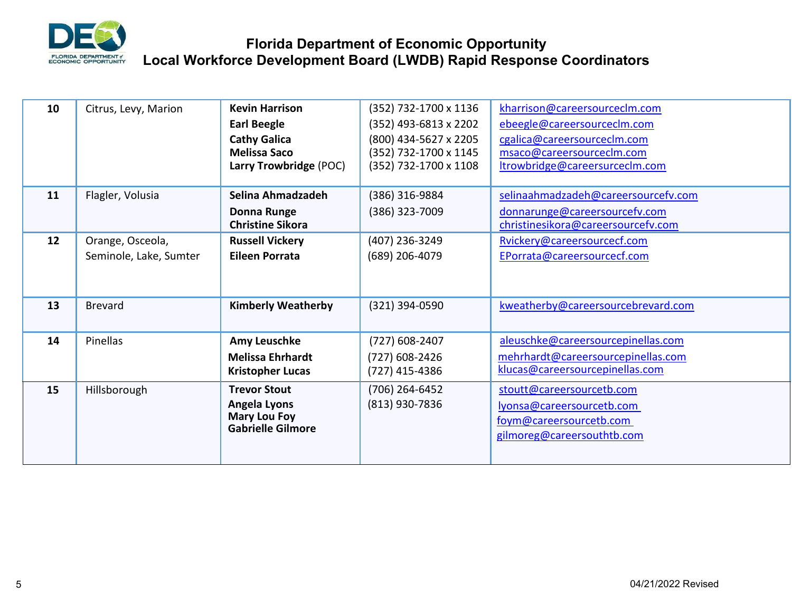

## **Florida Department of Economic Opportunity Local Workforce Development Board (LWDB) Rapid Response Coordinators**

| 10 | Citrus, Levy, Marion   | <b>Kevin Harrison</b>               | (352) 732-1700 x 1136 | kharrison@careersourceclm.com       |
|----|------------------------|-------------------------------------|-----------------------|-------------------------------------|
|    |                        | <b>Earl Beegle</b>                  | (352) 493-6813 x 2202 | ebeegle@careersourceclm.com         |
|    |                        | <b>Cathy Galica</b>                 | (800) 434-5627 x 2205 | cgalica@careersourceclm.com         |
|    |                        | <b>Melissa Saco</b>                 | (352) 732-1700 x 1145 | msaco@careersourceclm.com           |
|    |                        | Larry Trowbridge (POC)              | (352) 732-1700 x 1108 | trowbridge@careersurceclm.com       |
|    |                        |                                     |                       |                                     |
| 11 | Flagler, Volusia       | Selina Ahmadzadeh                   | (386) 316-9884        | selinaahmadzadeh@careersourcefv.com |
|    |                        | Donna Runge                         | (386) 323-7009        | donnarunge@careersourcefv.com       |
|    |                        | <b>Christine Sikora</b>             |                       | christinesikora@careersourcefv.com  |
| 12 | Orange, Osceola,       | <b>Russell Vickery</b>              | (407) 236-3249        | Rvickery@careersourcecf.com         |
|    | Seminole, Lake, Sumter | <b>Eileen Porrata</b>               | (689) 206-4079        | EPorrata@careersourcecf.com         |
|    |                        |                                     |                       |                                     |
|    |                        |                                     |                       |                                     |
| 13 | <b>Brevard</b>         | <b>Kimberly Weatherby</b>           | (321) 394-0590        | kweatherby@careersourcebrevard.com  |
|    |                        |                                     |                       |                                     |
| 14 | Pinellas               | Amy Leuschke                        | $(727)$ 608-2407      | aleuschke@careersourcepinellas.com  |
|    |                        | <b>Melissa Ehrhardt</b>             | (727) 608-2426        | mehrhardt@careersourcepinellas.com  |
|    |                        | <b>Kristopher Lucas</b>             | (727) 415-4386        | klucas@careersourcepinellas.com     |
|    |                        |                                     |                       |                                     |
| 15 | Hillsborough           | <b>Trevor Stout</b>                 | (706) 264-6452        | stoutt@careersourcetb.com           |
|    |                        | Angela Lyons<br><b>Mary Lou Foy</b> | (813) 930-7836        | lyonsa@careersourcetb.com           |
|    |                        | <b>Gabrielle Gilmore</b>            |                       | foym@careersourcetb.com             |
|    |                        |                                     |                       | gilmoreg@careersouthtb.com          |
|    |                        |                                     |                       |                                     |
|    |                        |                                     |                       |                                     |